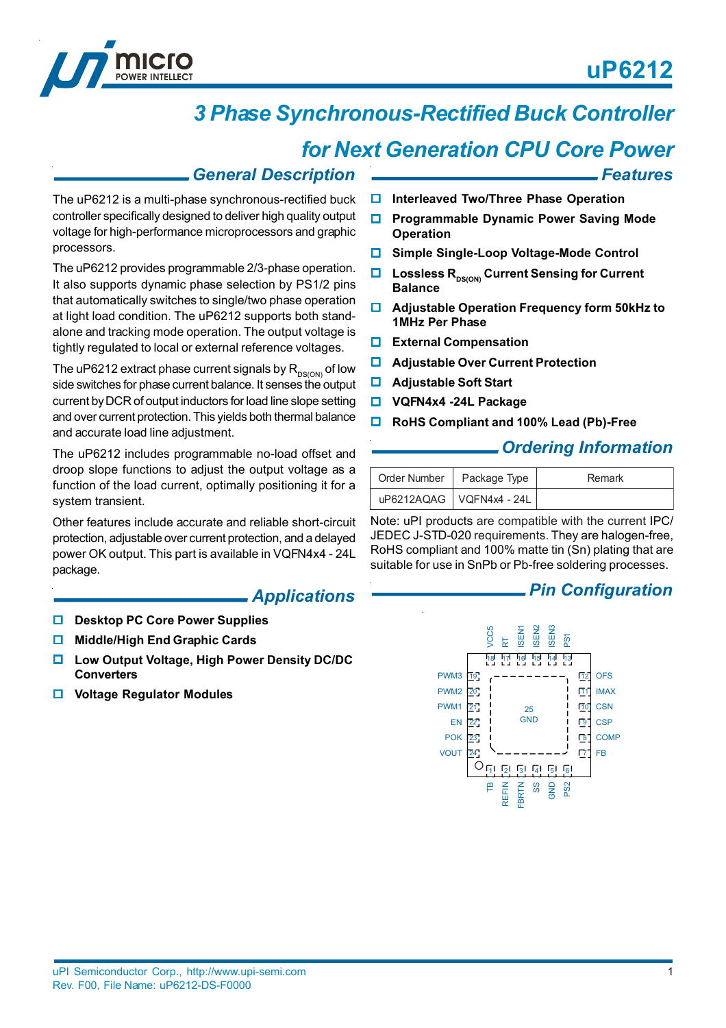

*Features*



# *3 Phase Synchronous-Rectified Buck Controller*

## *for Next Generation CPU Core Power*

#### *General Description*

The uP6212 is a multi-phase synchronous-rectified buck controller specifically designed to deliver high quality output voltage for high-performance microprocessors and graphic processors.

The uP6212 provides programmable 2/3-phase operation. It also supports dynamic phase selection by PS1/2 pins that automatically switches to single/two phase operation at light load condition. The uP6212 supports both standalone and tracking mode operation. The output voltage is tightly regulated to local or external reference voltages.

The uP6212 extract phase current signals by  $R_{DS(ON)}$  of low side switches for phase current balance. It senses the output current by DCR of output inductors for load line slope setting and over current protection. This yields both thermal balance and accurate load line adjustment.

The uP6212 includes programmable no-load offset and droop slope functions to adjust the output voltage as a function of the load current, optimally positioning it for a system transient.

Other features include accurate and reliable short-circuit protection, adjustable over current protection, and a delayed power OK output. This part is available in VQFN4x4 - 24L package.

#### *Applications*

- **Desktop PC Core Power Supplies**
- **Middle/High End Graphic Cards**
- **Low Output Voltage, High Power Density DC/DC Converters**
- **Voltage Regulator Modules**

#### **Interleaved Two/Three Phase Operation**

- **Programmable Dynamic Power Saving Mode Operation**
- **Simple Single-Loop Voltage-Mode Control**
- **Lossless R**<sub>DS(ON)</sub> Current Sensing for Current **Balance**
- **Adjustable Operation Frequency form 50kHz to 1MHz Per Phase**
- **External Compensation**
- **Adjustable Over Current Protection**
- **Adjustable Soft Start**
- **VQFN4x4 -24L Package**
- **RoHS Compliant and 100% Lead (Pb)-Free**

#### *Ordering Information*

| Order Number   Package Type |                            | Remark |
|-----------------------------|----------------------------|--------|
|                             | uP6212AQAG   VQFN4x4 - 24L |        |

Note: uPI products are compatible with the current IPC/ JEDEC J-STD-020 requirements. They are halogen-free, RoHS compliant and 100% matte tin (Sn) plating that are suitable for use in SnPb or Pb-free soldering processes.

#### *Pin Configuration*

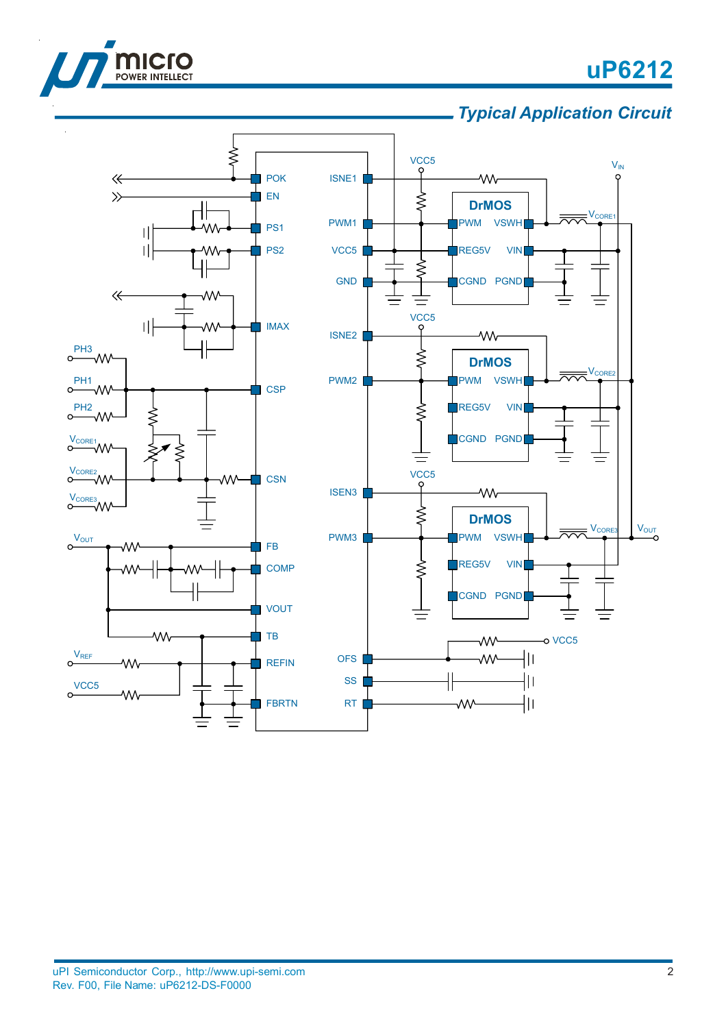

*Typical Application Circuit*

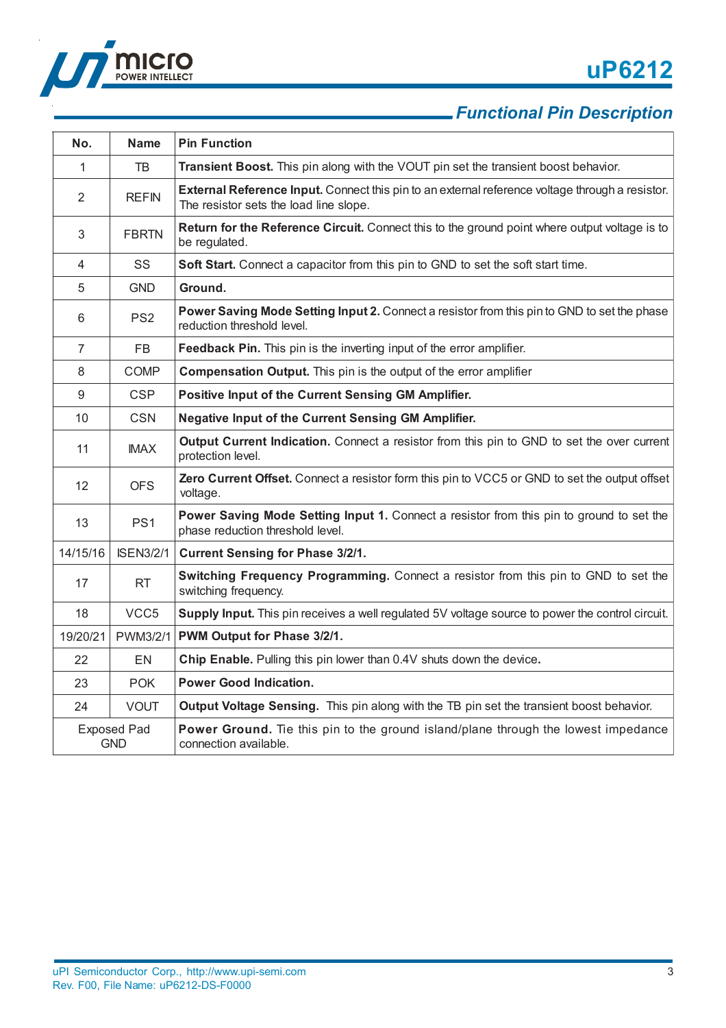

## *Functional Pin Description*

| No.                              | <b>Name</b>      | <b>Pin Function</b>                                                                                                                       |
|----------------------------------|------------------|-------------------------------------------------------------------------------------------------------------------------------------------|
| $\mathbf{1}$                     | TB               | Transient Boost. This pin along with the VOUT pin set the transient boost behavior.                                                       |
| $\overline{2}$                   | <b>REFIN</b>     | External Reference Input. Connect this pin to an external reference voltage through a resistor.<br>The resistor sets the load line slope. |
| 3                                | <b>FBRTN</b>     | Return for the Reference Circuit. Connect this to the ground point where output voltage is to<br>be regulated.                            |
| $\overline{4}$                   | SS               | Soft Start. Connect a capacitor from this pin to GND to set the soft start time.                                                          |
| 5                                | <b>GND</b>       | Ground.                                                                                                                                   |
| 6                                | PS <sub>2</sub>  | Power Saving Mode Setting Input 2. Connect a resistor from this pin to GND to set the phase<br>reduction threshold level.                 |
| $\overline{7}$                   | <b>FB</b>        | Feedback Pin. This pin is the inverting input of the error amplifier.                                                                     |
| 8                                | <b>COMP</b>      | Compensation Output. This pin is the output of the error amplifier                                                                        |
| 9                                | <b>CSP</b>       | Positive Input of the Current Sensing GM Amplifier.                                                                                       |
| 10                               | <b>CSN</b>       | <b>Negative Input of the Current Sensing GM Amplifier.</b>                                                                                |
| 11                               | <b>IMAX</b>      | Output Current Indication. Connect a resistor from this pin to GND to set the over current<br>protection level.                           |
| 12                               | <b>OFS</b>       | Zero Current Offset. Connect a resistor form this pin to VCC5 or GND to set the output offset<br>voltage.                                 |
| 13                               | PS <sub>1</sub>  | Power Saving Mode Setting Input 1. Connect a resistor from this pin to ground to set the<br>phase reduction threshold level.              |
| 14/15/16                         | <b>ISEN3/2/1</b> | <b>Current Sensing for Phase 3/2/1.</b>                                                                                                   |
| 17                               | <b>RT</b>        | Switching Frequency Programming. Connect a resistor from this pin to GND to set the<br>switching frequency.                               |
| 18                               | VCC5             | Supply Input. This pin receives a well regulated 5V voltage source to power the control circuit.                                          |
| 19/20/21                         | PWM3/2/1         | PWM Output for Phase 3/2/1.                                                                                                               |
| 22                               | <b>EN</b>        | Chip Enable. Pulling this pin lower than 0.4V shuts down the device.                                                                      |
| 23                               | <b>POK</b>       | <b>Power Good Indication.</b>                                                                                                             |
| 24                               | <b>VOUT</b>      | Output Voltage Sensing. This pin along with the TB pin set the transient boost behavior.                                                  |
| <b>Exposed Pad</b><br><b>GND</b> |                  | Power Ground. Tie this pin to the ground island/plane through the lowest impedance<br>connection available.                               |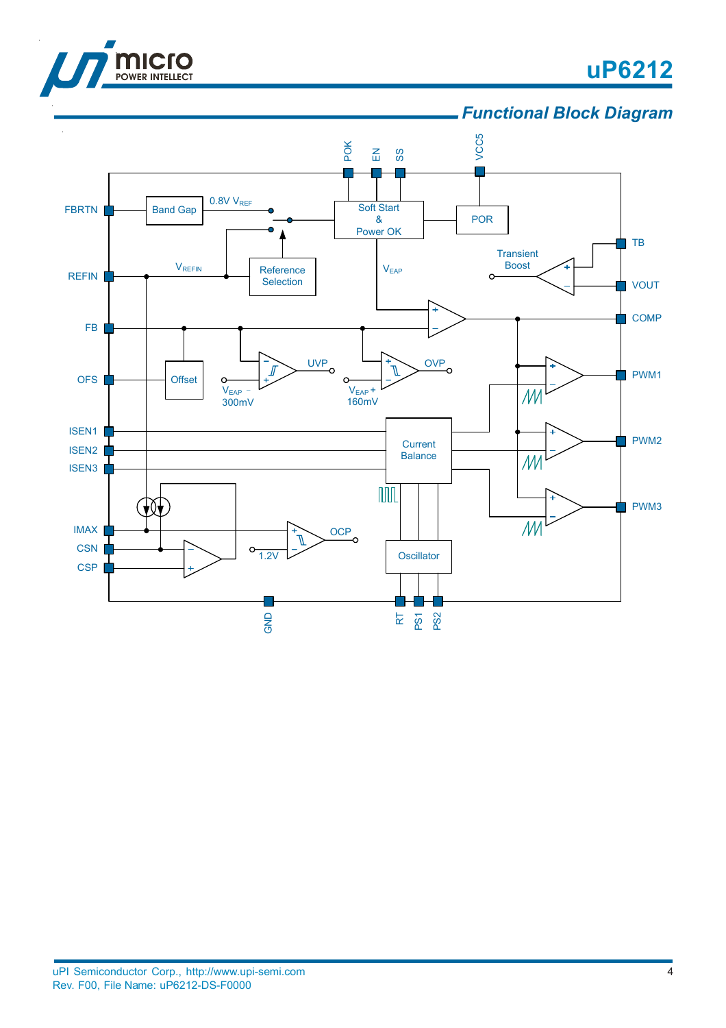

### *Functional Block Diagram*

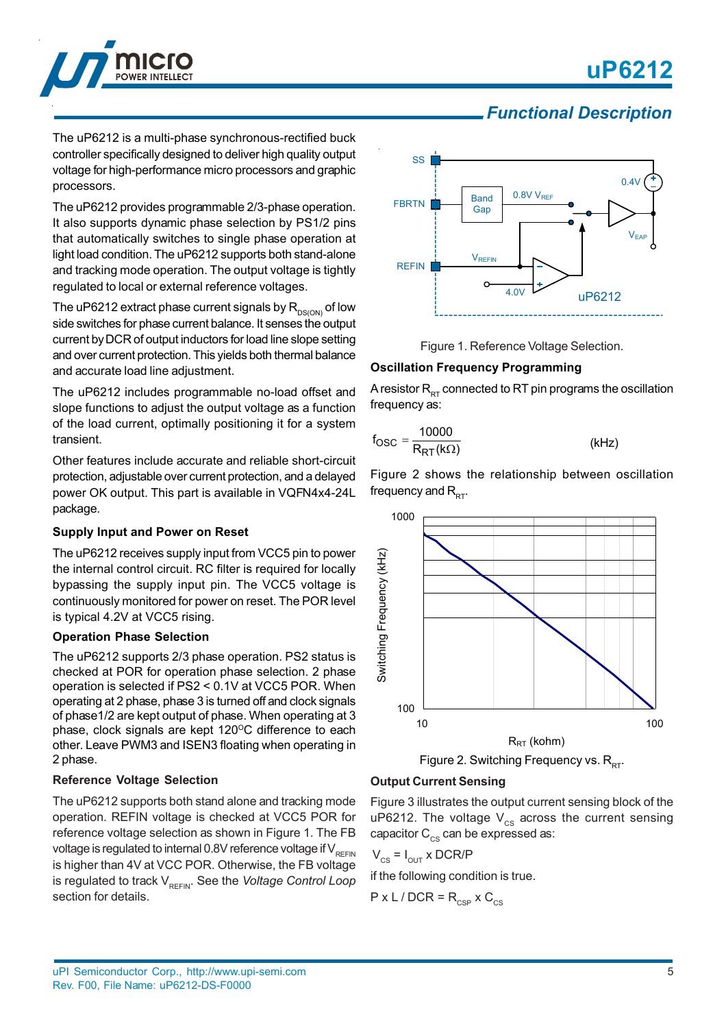

### *Functional Description*

The uP6212 is a multi-phase synchronous-rectified buck controller specifically designed to deliver high quality output voltage for high-performance micro processors and graphic processors.

The uP6212 provides programmable 2/3-phase operation. It also supports dynamic phase selection by PS1/2 pins that automatically switches to single phase operation at light load condition. The uP6212 supports both stand-alone and tracking mode operation. The output voltage is tightly regulated to local or external reference voltages.

The uP6212 extract phase current signals by  $R_{DS(ON)}$  of low side switches for phase current balance. It senses the output current by DCR of output inductors for load line slope setting and over current protection. This yields both thermal balance and accurate load line adjustment.

The uP6212 includes programmable no-load offset and slope functions to adjust the output voltage as a function of the load current, optimally positioning it for a system transient.

Other features include accurate and reliable short-circuit protection, adjustable over current protection, and a delayed power OK output. This part is available in VQFN4x4-24L package.

#### **Supply Input and Power on Reset**

The uP6212 receives supply input from VCC5 pin to power the internal control circuit. RC filter is required for locally bypassing the supply input pin. The VCC5 voltage is continuously monitored for power on reset. The POR level is typical 4.2V at VCC5 rising.

#### **Operation Phase Selection**

The uP6212 supports 2/3 phase operation. PS2 status is checked at POR for operation phase selection. 2 phase operation is selected if PS2 < 0.1V at VCC5 POR. When operating at 2 phase, phase 3 is turned off and clock signals of phase1/2 are kept output of phase. When operating at 3 phase, clock signals are kept  $120^{\circ}$ C difference to each other. Leave PWM3 and ISEN3 floating when operating in 2 phase.

#### **Reference Voltage Selection**

The uP6212 supports both stand alone and tracking mode operation. REFIN voltage is checked at VCC5 POR for reference voltage selection as shown in Figure 1. The FB voltage is regulated to internal 0.8V reference voltage if  $V_{\text{per}}$ <sub>NEFIN</sub> is higher than 4V at VCC POR. Otherwise, the FB voltage is regulated to track V<sub>REFIN</sub>. See the *Voltage Control Loop* section for details.



Figure 1. Reference Voltage Selection.

#### **Oscillation Frequency Programming**

A resistor  $R_{RT}$  connected to RT pin programs the oscillation frequency as:

$$
f_{\rm OSC} = \frac{10000}{R_{\rm RT}(k\Omega)}\tag{kHz}
$$

Figure 2 shows the relationship between oscillation frequency and  $R_{DT}$ .



Figure 2. Switching Frequency vs.  $R_{DT}$ .

#### **Output Current Sensing**

Figure 3 illustrates the output current sensing block of the uP6212. The voltage  $V_{cs}$  across the current sensing capacitor  $C_{\text{cc}}$  can be expressed as:

$$
V_{CS} = I_{OUT} \times DCR/P
$$

if the following condition is true.

$$
P \times L / DCR = R_{CSP} \times C_{CS}
$$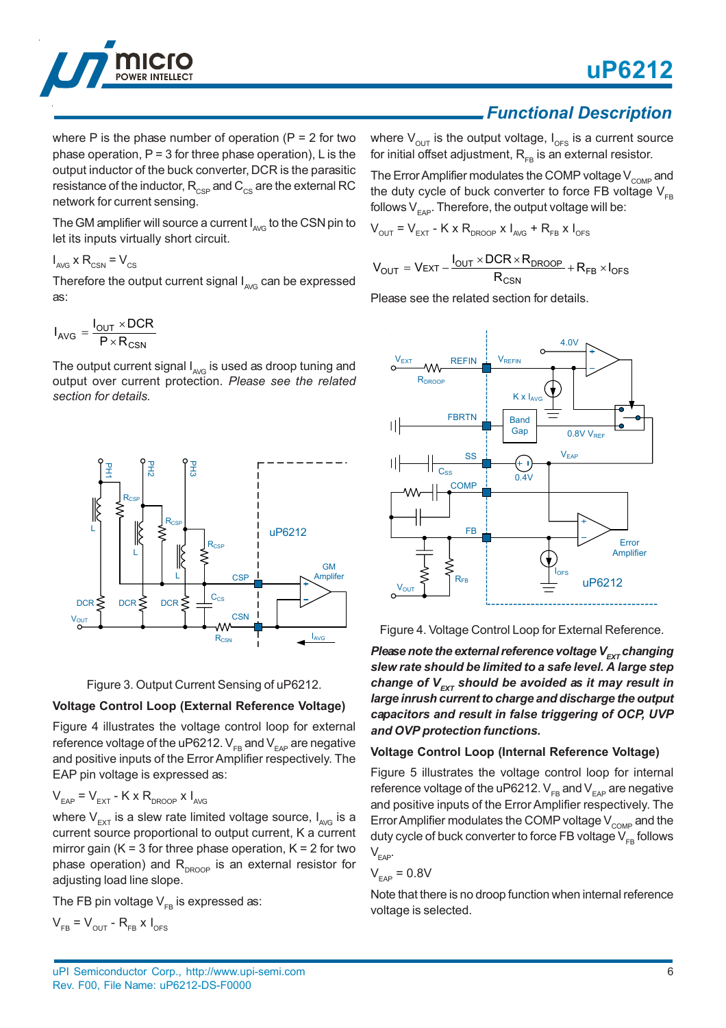

where P is the phase number of operation ( $P = 2$  for two phase operation,  $P = 3$  for three phase operation), L is the output inductor of the buck converter, DCR is the parasitic resistance of the inductor,  $R_{\text{CSP}}$  and  $C_{\text{CS}}$  are the external RC network for current sensing.

The GM amplifier will source a current  $I_{AVG}$  to the CSN pin to let its inputs virtually short circuit.

 $I_{AVG}$  x R<sub>CSN</sub> =  $V_{CS}$ 

Therefore the output current signal  $I_{AVG}$  can be expressed as:

$$
I_{AVG} = \frac{I_{OUT} \times DCR}{P \times R_{CSN}}
$$

The output current signal  $I_{\text{AVG}}$  is used as droop tuning and output over current protection. *Please see the related section for details.*





#### **Voltage Control Loop (External Reference Voltage)**

Figure 4 illustrates the voltage control loop for external reference voltage of the uP6212.  $V_{FB}$  and  $V_{FAP}$  are negative and positive inputs of the Error Amplifier respectively. The EAP pin voltage is expressed as:

$$
V_{EAP} = V_{EXT} - K \times R_{DROOP} \times I_{AVG}
$$

where  $V_{ext}$  is a slew rate limited voltage source,  $I_{AVG}$  is a current source proportional to output current, K a current mirror gain ( $K = 3$  for three phase operation,  $K = 2$  for two phase operation) and  $R_{DROOP}$  is an external resistor for adjusting load line slope.

The FB pin voltage  $V_{FB}$  is expressed as:

$$
V_{FB} = V_{OUT} - R_{FB} \times I_{OFS}
$$

*Functional Description*

where  $V_{\text{out}}$  is the output voltage,  $I_{\text{OFS}}$  is a current source for initial offset adjustment,  $R_{FB}$  is an external resistor.

The Error Amplifier modulates the COMP voltage  $V_{\text{COMP}}$  and the duty cycle of buck converter to force FB voltage  $V_{FB}$ follows  $V_{\text{max}}$ . Therefore, the output voltage will be:

$$
V_{\text{OUT}} = V_{\text{EXT}} - K \times R_{\text{DROOP}} \times I_{\text{AVG}} + R_{\text{FB}} \times I_{\text{OFS}}
$$

$$
V_{OUT} = V_{EXT} - \frac{I_{OUT} \times DCR \times R_{DROOP}}{R_{CSN}} + R_{FB} \times I_{OFS}
$$

Please see the related section for details.



Figure 4. Voltage Control Loop for External Reference.

*Please note the external reference voltage V<sub>EXT</sub> changing slew rate should be limited to a safe level. A large step change of V<sub>EXT</sub>* should be avoided as it may result in *large inrush current to charge and discharge the output capacitors and result in false triggering of OCP, UVP and OVP protection functions.*

#### **Voltage Control Loop (Internal Reference Voltage)**

Figure 5 illustrates the voltage control loop for internal reference voltage of the uP6212.  $V_{FB}$  and  $V_{FAP}$  are negative and positive inputs of the Error Amplifier respectively. The Error Amplifier modulates the COMP voltage  $V_{\text{COMP}}$  and the duty cycle of buck converter to force FB voltage  $V_{FB}$  follows  $V_{EAP}$ .

$$
\rm V_{_{EAP}}=0.8V
$$

Note that there is no droop function when internal reference voltage is selected.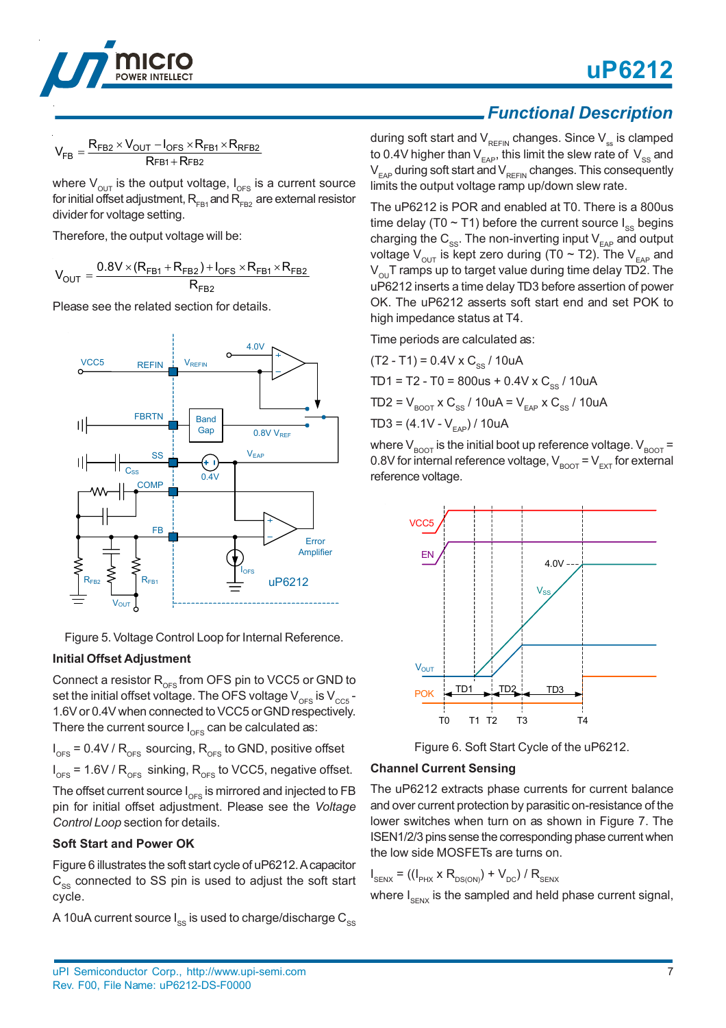



$$
V_{FB}=\frac{R_{FB2}\times V_{OUT}-I_{OFS}\times R_{FB1}\times R_{RFB2}}{R_{FB1}+R_{FB2}}
$$

where  $V_{\text{out}}$  is the output voltage,  $I_{\text{OFS}}$  is a current source for initial offset adjustment,  $R_{\text{FA1}}$  and  $R_{\text{FB2}}$  are external resistor divider for voltage setting.

Therefore, the output voltage will be:

$$
V_{OUT} = \frac{0.8V \times (R_{FB1}+R_{FB2})+I_{OFS} \times R_{FB1} \times R_{FB2}}{R_{FB2}}
$$

Please see the related section for details.



Figure 5. Voltage Control Loop for Internal Reference.

#### **Initial Offset Adjustment**

Connect a resistor  $R_{\text{OFS}}$  from OFS pin to VCC5 or GND to set the initial offset voltage. The OFS voltage  $V_{\text{OES}}$  is  $V_{\text{CC5}}$  -1.6V or 0.4V when connected to VCC5 or GND respectively. There the current source  $I_{\text{OES}}$  can be calculated as:

 $I_{\text{OFS}}$  = 0.4V /  $R_{\text{OFS}}$  sourcing,  $R_{\text{OFS}}$  to GND, positive offset

 $I<sub>oFS</sub>$  = 1.6V /  $R<sub>oFS</sub>$  sinking,  $R<sub>oFS</sub>$  to VCC5, negative offset.

The offset current source  $I_{\text{OFS}}$  is mirrored and injected to FB pin for initial offset adjustment. Please see the *Voltage Control Loop* section for details.

#### **Soft Start and Power OK**

Figure 6 illustrates the soft start cycle of uP6212. A capacitor  $C_{ss}$  connected to SS pin is used to adjust the soft start cycle.

A 10uA current source  $I_{ss}$  is used to charge/discharge  $C_{ss}$ 

### *Functional Description*

during soft start and  $V_{REFIN}$  changes. Since  $V_{ss}$  is clamped to 0.4V higher than  $V_{FAP}$ , this limit the slew rate of  $V_{SS}$  and  $V_{EAP}$  during soft start and  $V_{REFIN}$  changes. This consequently limits the output voltage ramp up/down slew rate.

The uP6212 is POR and enabled at T0. There is a 800us time delay (T0  $\sim$  T1) before the current source  $I_{\text{ss}}$  begins charging the  $C_{ss}$ . The non-inverting input  $V_{EAP}$  and output voltage  $V_{\text{out}}$  is kept zero during (T0 ~ T2). The V<sub>EAP</sub> and  $V_{\text{out}}$ T ramps up to target value during time delay TD2. The uP6212 inserts a time delay TD3 before assertion of power OK. The uP6212 asserts soft start end and set POK to high impedance status at T4.

Time periods are calculated as:

 $(T2 - T1) = 0.4V \times C_{\text{sc}} / 10uA$  $TD1 = T2 - T0 = 800$ us + 0.4V x C<sub>ss</sub> / 10uA  $TD2 = V_{BOOT}$  x  $C_{SS}$  / 10uA =  $V_{EAP}$  x  $C_{SS}$  / 10uA  $TD3 = (4.1V - V_{EAP}) / 10uA$ 

where  $V_{\text{BOOT}}$  is the initial boot up reference voltage.  $V_{\text{BOOT}} =$ 0.8V for internal reference voltage,  $V_{\text{BOOT}} = V_{\text{EXT}}$  for external reference voltage.



Figure 6. Soft Start Cycle of the uP6212.

#### **Channel Current Sensing**

The uP6212 extracts phase currents for current balance and over current protection by parasitic on-resistance of the lower switches when turn on as shown in Figure 7. The ISEN1/2/3 pins sense the corresponding phase current when the low side MOSFETs are turns on.

 $I_{\text{SENX}} = ((I_{\text{PHX}} \times R_{\text{DS(ON)}}) + V_{\text{DC}}) / R_{\text{SENX}}$ 

where  $I_{SENX}$  is the sampled and held phase current signal,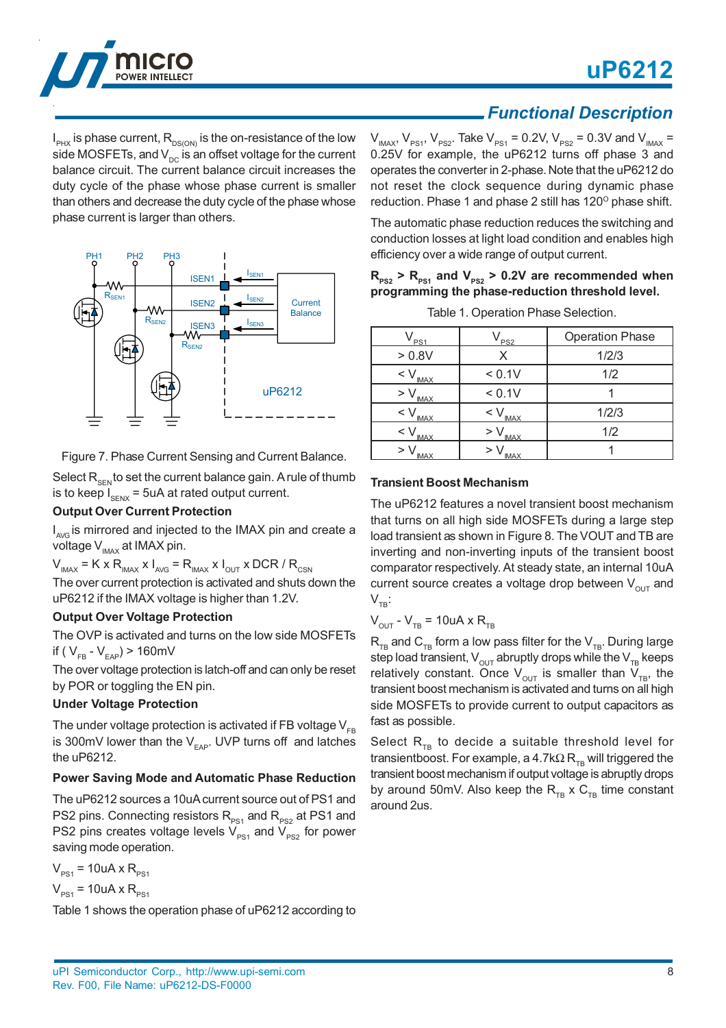

### *Functional Description*

 $\mathsf{I}_{_\text{PK}}$  is phase current,  $\mathsf{R}_{_\text{DS(ON)}}$  is the on-resistance of the low side MOSFETs, and  $V_{\text{DC}}$  is an offset voltage for the current balance circuit. The current balance circuit increases the duty cycle of the phase whose phase current is smaller than others and decrease the duty cycle of the phase whose phase current is larger than others.



Figure 7. Phase Current Sensing and Current Balance.

Select  $R_{\text{SEN}}$  to set the current balance gain. A rule of thumb is to keep  $I_{SENX}$  = 5uA at rated output current.

#### **Output Over Current Protection**

I<sub>AvG</sub> is mirrored and injected to the IMAX pin and create a voltage  $V_{\text{IMAX}}$  at IMAX pin.

 $V_{I_{\text{MAX}}}$  = K x R<sub>IMAX</sub> x  $I_{AVG}$  = R<sub>IMAX</sub> x  $I_{OUT}$  x DCR / R<sub>CSN</sub> The over current protection is activated and shuts down the

uP6212 if the IMAX voltage is higher than 1.2V.

#### **Output Over Voltage Protection**

The OVP is activated and turns on the low side MOSFETs if ( $V_{FB} - V_{FAP}$ ) > 160mV

The over voltage protection is latch-off and can only be reset by POR or toggling the EN pin.

#### **Under Voltage Protection**

The under voltage protection is activated if FB voltage  $V_{FB}$ is 300mV lower than the  $V_{EAP}$ . UVP turns off and latches the uP6212.

#### **Power Saving Mode and Automatic Phase Reduction**

The uP6212 sources a 10uA current source out of PS1 and PS2 pins. Connecting resistors  $R_{PS1}$  and  $R_{PS2}$  at PS1 and PS2 pins creates voltage levels  $V_{PS1}$  and  $V_{PS2}$  for power saving mode operation.

 $V_{PS1}$  = 10uA x R<sub>PS1</sub>

$$
V_{PS1} = 10uA \times R_{PS1}
$$

Table 1 shows the operation phase of uP6212 according to

 $V_{I_{\text{MAX}}}$ ,  $V_{PS1}$ ,  $V_{PS2}$ . Take  $V_{PS1}$  = 0.2V,  $V_{PS2}$  = 0.3V and  $V_{I_{\text{MAX}}}$  = 0.25V for example, the uP6212 turns off phase 3 and operates the converter in 2-phase. Note that the uP6212 do not reset the clock sequence during dynamic phase reduction. Phase 1 and phase 2 still has  $120^{\circ}$  phase shift.

The automatic phase reduction reduces the switching and conduction losses at light load condition and enables high efficiency over a wide range of output current.

#### $R_{PS2}$  >  $R_{PS1}$  and  $V_{PS2}$  > 0.2V are recommended when **programming the phase-reduction threshold level.**

| PS <sub>1</sub>             | PS <sub>2</sub>           | <b>Operation Phase</b> |
|-----------------------------|---------------------------|------------------------|
| > 0.8V                      | x                         | 1/2/3                  |
| $\lt$ $\vee$<br><b>IMAX</b> | < 0.1V                    | 1/2                    |
| > V<br><b>IMAX</b>          | < 0.1V                    |                        |
| $<$ $\vee$<br><b>IMAX</b>   | $<$ $\vee$<br><b>IMAX</b> | 1/2/3                  |
| $<$ $\vee$<br><b>IMAX</b>   | <b>IMAX</b>               | 1/2                    |
| > V<br>IMAX                 | <b>IMAX</b>               |                        |

Table 1. Operation Phase Selection.

#### **Transient Boost Mechanism**

The uP6212 features a novel transient boost mechanism that turns on all high side MOSFETs during a large step load transient as shown in Figure 8. The VOUT and TB are inverting and non-inverting inputs of the transient boost comparator respectively. At steady state, an internal 10uA current source creates a voltage drop between  $V_{\text{out}}$  and  $V_{\tau B}$ :

$$
V_{\text{OUT}} - V_{\text{TB}} = 10uA \times R_{\text{TB}}
$$

 $R_{TR}$  and  $C_{TR}$  form a low pass filter for the  $V_{TR}$ . During large step load transient,  $V_{OUT}$  abruptly drops while the  $V_{TB}$  keeps relatively constant. Once  $V_{\text{out}}$  is smaller than  $V_{\text{TR}}$ , the transient boost mechanism is activated and turns on all high side MOSFETs to provide current to output capacitors as fast as possible.

Select  $R_{TR}$  to decide a suitable threshold level for transientboost. For example, a 4.7k $\Omega$  R<sub>TB</sub> will triggered the transient boost mechanism if output voltage is abruptly drops by around 50mV. Also keep the  $R_{TB} \times C_{TB}$  time constant around 2us.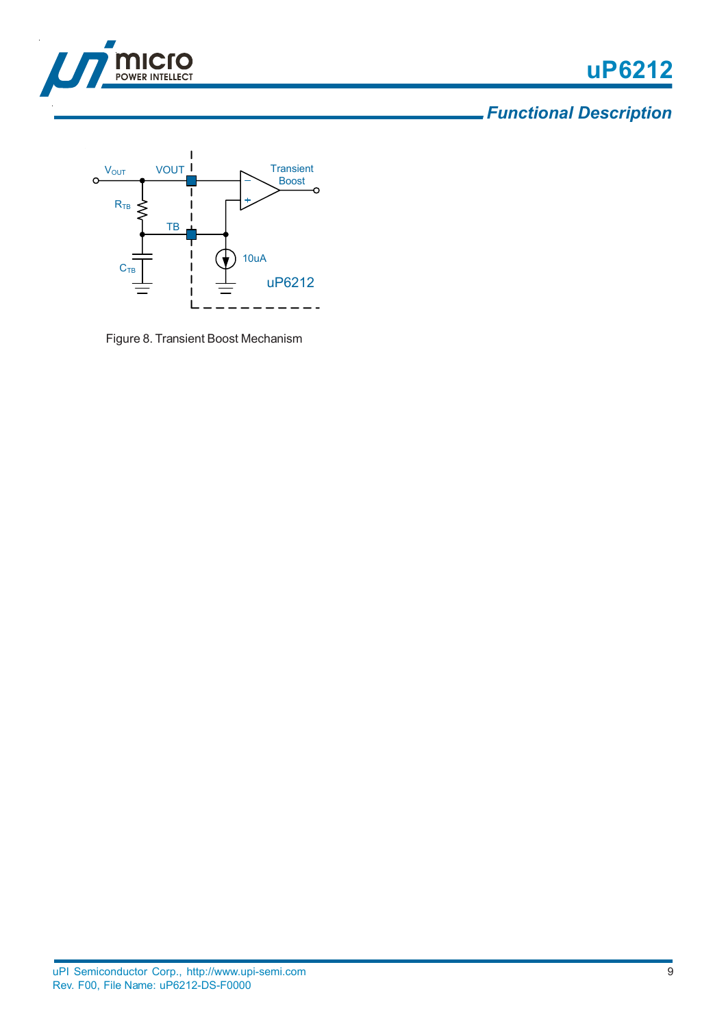

## *Functional Description*



Figure 8. Transient Boost Mechanism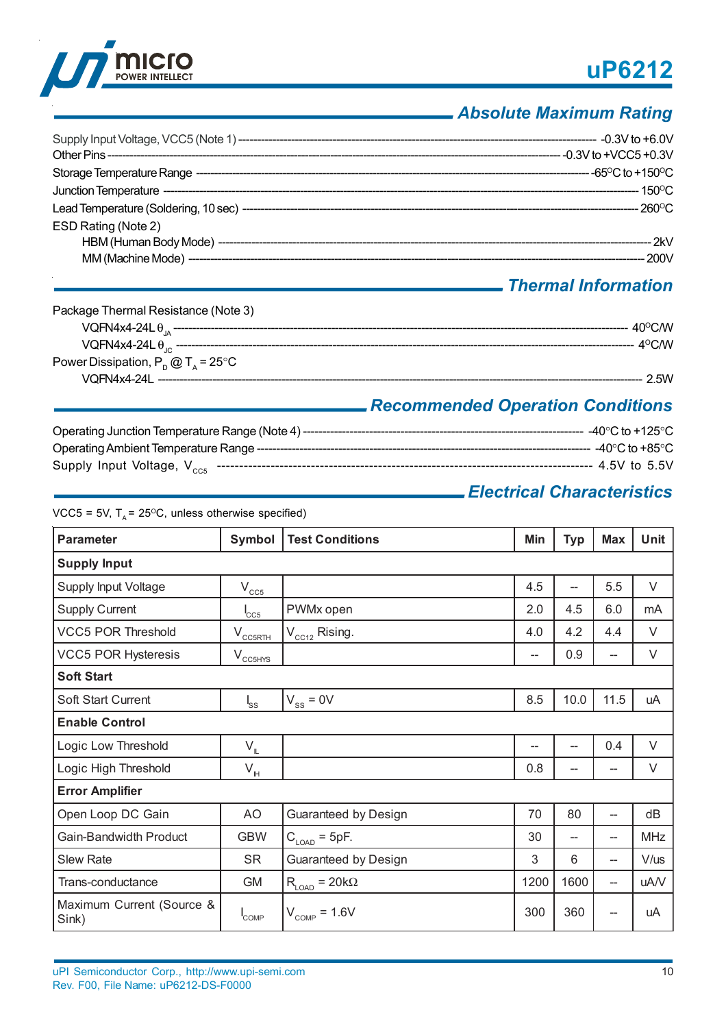

## *Absolute Maximum Rating*

| ESD Rating (Note 2) |  |
|---------------------|--|

### *Thermal Information*

| Package Thermal Resistance (Note 3)         |                          |
|---------------------------------------------|--------------------------|
|                                             | $40^{\circ}$ CM $\prime$ |
|                                             | ∴4 <sup>o</sup> C/W      |
| Power Dissipation, $P_p @ T_a = 25^\circ C$ |                          |
|                                             | 2.5W                     |

## *Recommended Operation Conditions*

| --- -40°C to +125°C . |
|-----------------------|
| ---- -40°C to +85°C . |
| ----- 4.5V to 5.5V    |

### *Electrical Characteristics*

VCC5 = 5V,  $T_A$  = 25<sup>o</sup>C, unless otherwise specified)

| <b>Parameter</b>                   | Symbol                                                                          | <b>Test Conditions</b>                                     | Min               | <b>Typ</b>     | <b>Max</b> | <b>Unit</b> |
|------------------------------------|---------------------------------------------------------------------------------|------------------------------------------------------------|-------------------|----------------|------------|-------------|
| <b>Supply Input</b>                |                                                                                 |                                                            |                   |                |            |             |
| Supply Input Voltage               | $\rm V_{\underline{CC5}}$                                                       |                                                            | 4.5               | --             | 5.5        | $\vee$      |
| <b>Supply Current</b>              | $C_{\rm CG}$                                                                    | PWMx open                                                  | 2.0               | 4.5            | 6.0        | mA          |
| <b>VCC5 POR Threshold</b>          | $\rm V_{\rm CG5RTH}$                                                            | $V_{CC12}$ Rising.                                         | 4.0               | 4.2            | 4.4        | $\vee$      |
| <b>VCC5 POR Hysteresis</b>         | $V_{\frac{CC5HYS}{}}$                                                           |                                                            | $\hspace{0.05cm}$ | 0.9            | --         | V           |
| <b>Soft Start</b>                  |                                                                                 |                                                            |                   |                |            |             |
| <b>Soft Start Current</b>          | $I_{SS}$                                                                        | $V_{ss} = 0V$                                              | 8.5               | 10.0           | 11.5       | uA          |
| <b>Enable Control</b>              |                                                                                 |                                                            |                   |                |            |             |
| Logic Low Threshold                | $V_{\mathbb{L}}$                                                                |                                                            | --                | $\overline{a}$ | 0.4        | $\vee$      |
| Logic High Threshold               | $\mathsf{V}_{\underline{\scriptscriptstyle \mathsf{I}\hspace{-1pt}\mathsf{H}}}$ |                                                            | 0.8               | --             | --         | $\vee$      |
| <b>Error Amplifier</b>             |                                                                                 |                                                            |                   |                |            |             |
| Open Loop DC Gain                  | AO                                                                              | Guaranteed by Design                                       | 70                | 80             | --         | dB          |
| Gain-Bandwidth Product             | <b>GBW</b>                                                                      | $C_{\text{LOAD}} = 5pF.$                                   | 30                | --             | --         | <b>MHz</b>  |
| <b>Slew Rate</b>                   | <b>SR</b>                                                                       | Guaranteed by Design                                       | 3                 | 6              | --         | $V/$ us     |
| Trans-conductance                  | <b>GM</b>                                                                       | $\mathsf{R}_{\textsf{\tiny{LOAD}}} = 20 \mathsf{k} \Omega$ | 1200              | 1600           | --         | uA/V        |
| Maximum Current (Source &<br>Sink) | <b>COMP</b>                                                                     | $V_{\text{COMP}} = 1.6V$                                   | 300               | 360            |            | uA          |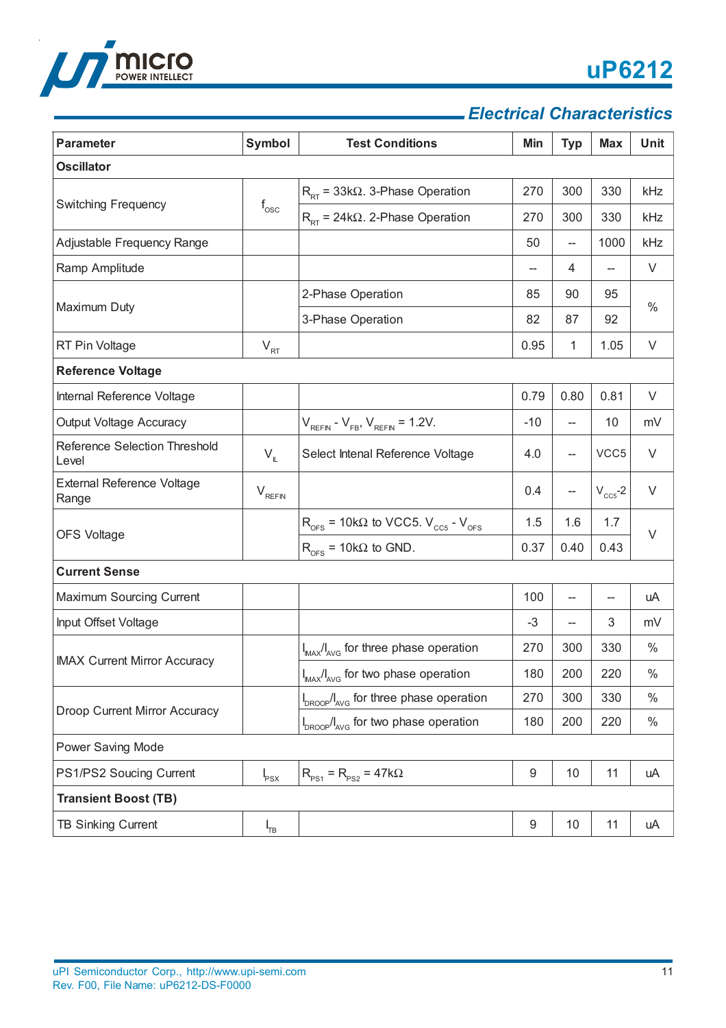

### *Electrical Characteristics*

| <b>Parameter</b>                              | Symbol                        | <b>Test Conditions</b>                                                       | Min              | <b>Typ</b>                         | <b>Max</b>     | <b>Unit</b> |
|-----------------------------------------------|-------------------------------|------------------------------------------------------------------------------|------------------|------------------------------------|----------------|-------------|
| <b>Oscillator</b>                             |                               |                                                                              |                  |                                    |                |             |
|                                               |                               | $R_{PT}$ = 33k $\Omega$ . 3-Phase Operation                                  | 270              | 300                                | 330            | kHz         |
| <b>Switching Frequency</b>                    | $f_{\rm osc}$                 | $R_{PT}$ = 24k $\Omega$ . 2-Phase Operation                                  | 270              | 300                                | 330            | kHz         |
| Adjustable Frequency Range                    |                               |                                                                              | 50               | --                                 | 1000           | kHz         |
| Ramp Amplitude                                |                               |                                                                              | --               | 4                                  | $\overline{a}$ | $\vee$      |
|                                               |                               | 2-Phase Operation                                                            | 85               | 90                                 | 95             |             |
| Maximum Duty                                  |                               | 3-Phase Operation                                                            | 82               | 87                                 | 92             | $\%$        |
| RT Pin Voltage                                | $V_{RT}$                      |                                                                              | 0.95             | 1                                  | 1.05           | $\vee$      |
| <b>Reference Voltage</b>                      |                               |                                                                              |                  |                                    |                |             |
| Internal Reference Voltage                    |                               |                                                                              | 0.79             | 0.80                               | 0.81           | V           |
| Output Voltage Accuracy                       |                               | $V_{REFIN} - V_{FB}$ , $V_{REFIN} = 1.2V$ .                                  | $-10$            | $\hspace{0.05cm} -\hspace{0.05cm}$ | 10             | mV          |
| <b>Reference Selection Threshold</b><br>Level | $V_{\parallel}$               | Select Intenal Reference Voltage                                             | 4.0              | $\hspace{0.05cm} -\hspace{0.05cm}$ | VCC5           | $\vee$      |
| <b>External Reference Voltage</b><br>Range    | $\mathsf{V}_{\mathsf{REFIN}}$ |                                                                              | 0.4              | $\hspace{0.05cm} -\hspace{0.05cm}$ | $V_{CC5}$ -2   | $\vee$      |
|                                               |                               | $R_{\text{DFS}}$ = 10k $\Omega$ to VCC5. $V_{\text{CC5}}$ - $V_{\text{DFS}}$ | 1.5              | 1.6                                | 1.7            | $\vee$      |
| <b>OFS Voltage</b>                            |                               | $R_{\text{OES}}$ = 10k $\Omega$ to GND.                                      | 0.37             | 0.40                               | 0.43           |             |
| <b>Current Sense</b>                          |                               |                                                                              |                  |                                    |                |             |
| Maximum Sourcing Current                      |                               |                                                                              | 100              | --                                 | --             | uA          |
| Input Offset Voltage                          |                               |                                                                              | $-3$             |                                    | 3              | mV          |
|                                               |                               | I <sub>MAX</sub> /I <sub>AVG</sub> for three phase operation                 | 270              | 300                                | 330            | $\%$        |
| <b>IMAX Current Mirror Accuracy</b>           |                               | $I_{\text{MAX}}/I_{\text{AVG}}$ for two phase operation                      | 180              | 200                                | 220            | $\%$        |
| Droop Current Mirror Accuracy                 |                               | I <sub>DROOP</sub> /I <sub>AVG</sub> for three phase operation               | 270              | 300                                | 330            | $\%$        |
|                                               |                               | I <sub>DROOP</sub> /I <sub>AVG</sub> for two phase operation                 | 180              | 200                                | 220            | $\%$        |
| Power Saving Mode                             |                               |                                                                              |                  |                                    |                |             |
| PS1/PS2 Soucing Current                       | $I_{PSX}$                     | $R_{PS1} = R_{PS2} = 47k\Omega$                                              | $\boldsymbol{9}$ | 10                                 | 11             | uA          |
| <b>Transient Boost (TB)</b>                   |                               |                                                                              |                  |                                    |                |             |
| <b>TB Sinking Current</b>                     | $I_{TB}$                      |                                                                              | 9                | 10                                 | 11             | uA          |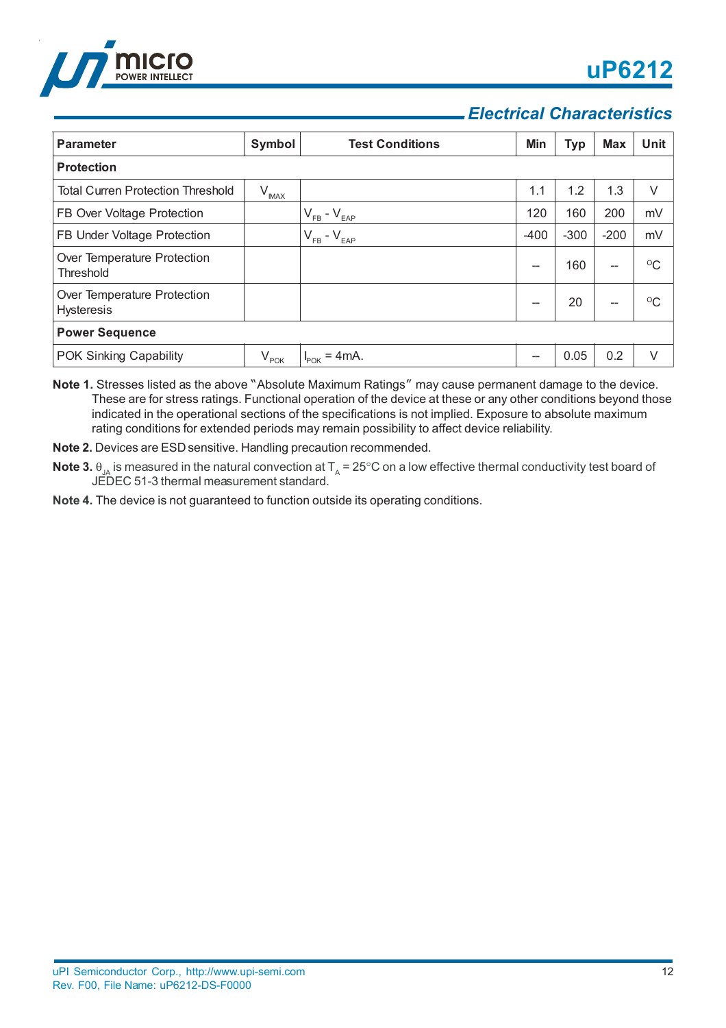

### *Electrical Characteristics*

| <b>Parameter</b>                                 | Symbol     | <b>Test Conditions</b>        | Min    | <b>Typ</b> | <b>Max</b> | Unit         |
|--------------------------------------------------|------------|-------------------------------|--------|------------|------------|--------------|
| <b>Protection</b>                                |            |                               |        |            |            |              |
| <b>Total Curren Protection Threshold</b>         | $V_{IMAX}$ |                               | 1.1    | 1.2        | 1.3        | V            |
| FB Over Voltage Protection                       |            | $V_{FB} - V_{EAP}$            | 120    | 160        | 200        | mV           |
| FB Under Voltage Protection                      |            | $V_{FB} - V_{EAP}$            | $-400$ | $-300$     | $-200$     | mV           |
| Over Temperature Protection<br>Threshold         |            |                               | --     | 160        | --         | $^{\circ}C$  |
| Over Temperature Protection<br><b>Hysteresis</b> |            |                               | --     | 20         | --         | $^{\circ}$ C |
| <b>Power Sequence</b>                            |            |                               |        |            |            |              |
| POK Sinking Capability                           | $V_{POK}$  | $= 4mA$ .<br>$I_{\text{POK}}$ |        | 0.05       | 0.2        | $\vee$       |

**Note 1.** Stresses listed as the above "Absolute Maximum Ratings" may cause permanent damage to the device. These are for stress ratings. Functional operation of the device at these or any other conditions beyond those indicated in the operational sections of the specifications is not implied. Exposure to absolute maximum rating conditions for extended periods may remain possibility to affect device reliability.

**Note 2.** Devices are ESD sensitive. Handling precaution recommended.

- **Note 3.**  $\theta_{\sf_{JA}}$  is measured in the natural convection at T<sub>A</sub> = 25°C on a low effective thermal conductivity test board of JEDEC 51-3 thermal measurement standard.
- **Note 4.** The device is not guaranteed to function outside its operating conditions.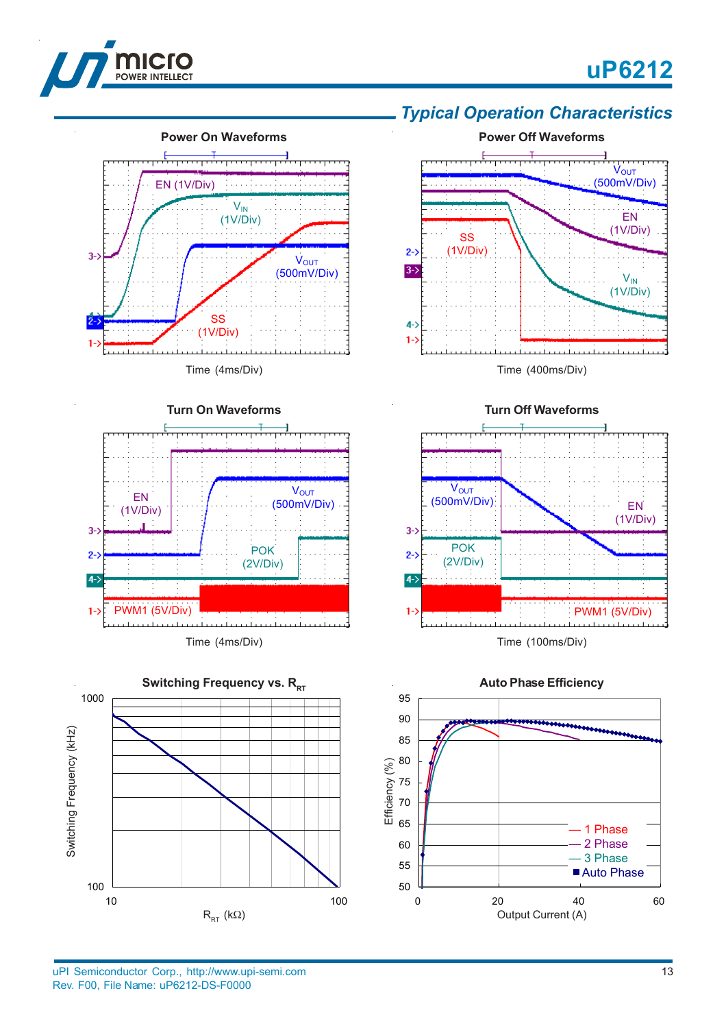





#### Time (4ms/Div)



Time (4ms/Div)



### *Typical Operation Characteristics*



Time (400ms/Div)



**Auto Phase Efficiency** 95 90 85 80 Efficiency (%) Efficiency (%)75 70 65 — 1 Phase 2 Phase 60 — 3 Phase 55 ■ Auto Phase 50 0 20 40 60 Output Current (A)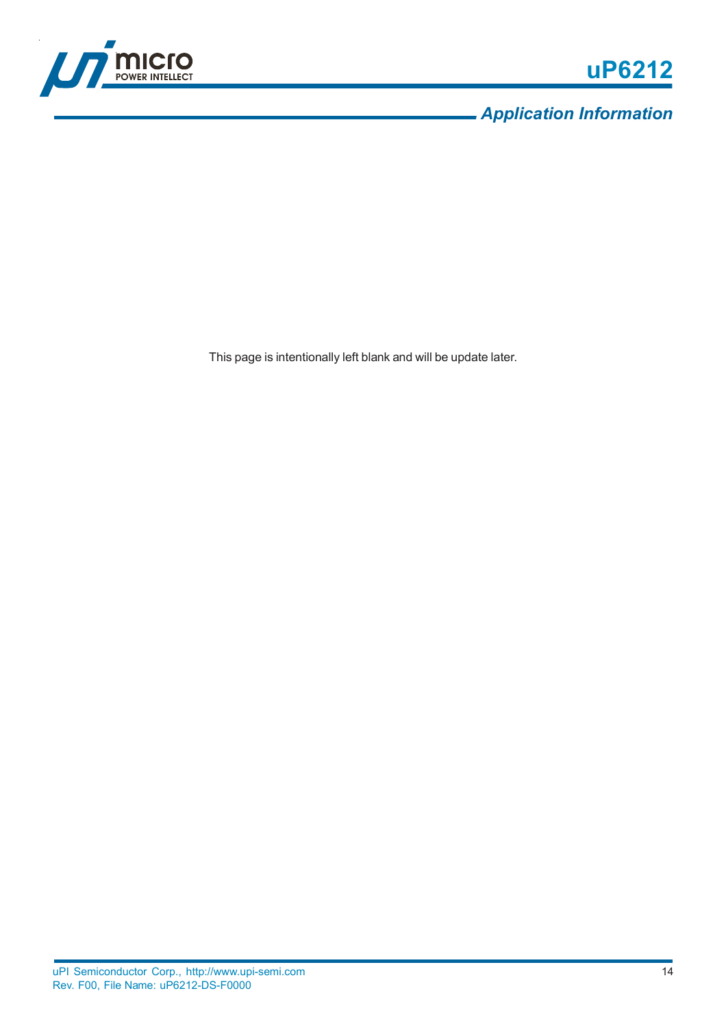

*Application Information*

This page is intentionally left blank and will be update later.